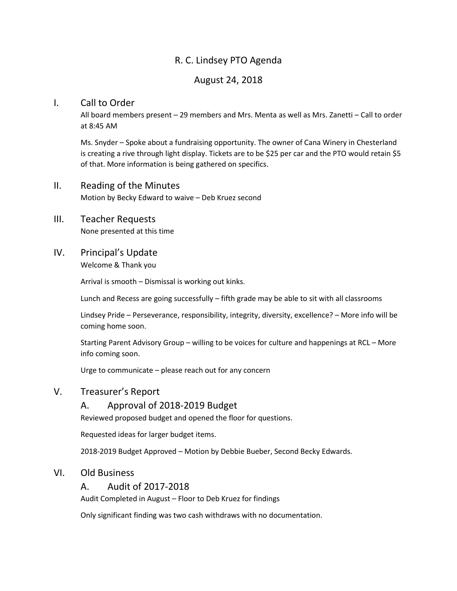# R. C. Lindsey PTO Agenda

## August 24, 2018

#### I. Call to Order

All board members present – 29 members and Mrs. Menta as well as Mrs. Zanetti – Call to order at 8:45 AM

Ms. Snyder – Spoke about a fundraising opportunity. The owner of Cana Winery in Chesterland is creating a rive through light display. Tickets are to be \$25 per car and the PTO would retain \$5 of that. More information is being gathered on specifics.

#### II. Reading of the Minutes

Motion by Becky Edward to waive – Deb Kruez second

#### III. Teacher Requests

None presented at this time

## IV. Principal's Update

Welcome & Thank you

Arrival is smooth – Dismissal is working out kinks.

Lunch and Recess are going successfully – fifth grade may be able to sit with all classrooms

Lindsey Pride – Perseverance, responsibility, integrity, diversity, excellence? – More info will be coming home soon.

Starting Parent Advisory Group – willing to be voices for culture and happenings at RCL – More info coming soon.

Urge to communicate – please reach out for any concern

# V. Treasurer's Report

#### A. Approval of 2018-2019 Budget

Reviewed proposed budget and opened the floor for questions.

Requested ideas for larger budget items.

2018-2019 Budget Approved – Motion by Debbie Bueber, Second Becky Edwards.

#### VI. Old Business

#### A. Audit of 2017-2018

Audit Completed in August – Floor to Deb Kruez for findings

Only significant finding was two cash withdraws with no documentation.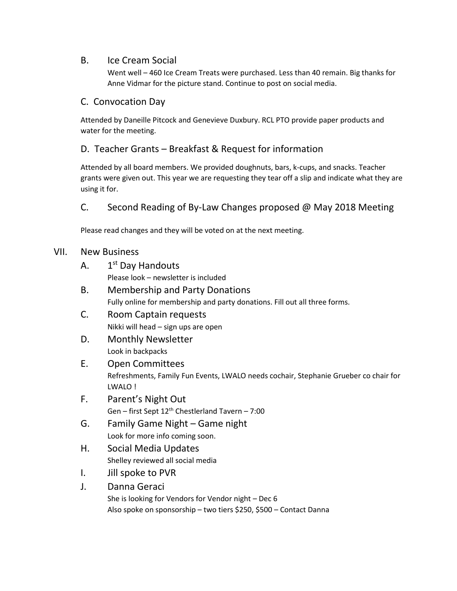## B. Ice Cream Social

Went well – 460 Ice Cream Treats were purchased. Less than 40 remain. Big thanks for Anne Vidmar for the picture stand. Continue to post on social media.

## C. Convocation Day

Attended by Daneille Pitcock and Genevieve Duxbury. RCL PTO provide paper products and water for the meeting.

# D. Teacher Grants – Breakfast & Request for information

Attended by all board members. We provided doughnuts, bars, k-cups, and snacks. Teacher grants were given out. This year we are requesting they tear off a slip and indicate what they are using it for.

# C. Second Reading of By-Law Changes proposed @ May 2018 Meeting

Please read changes and they will be voted on at the next meeting.

#### VII. New Business

- $A<sub>1</sub>$  $1<sup>st</sup>$  Day Handouts Please look – newsletter is included
- B. Membership and Party Donations Fully online for membership and party donations. Fill out all three forms.
- C. Room Captain requests Nikki will head – sign ups are open
- D. Monthly Newsletter Look in backpacks

## E. Open Committees Refreshments, Family Fun Events, LWALO needs cochair, Stephanie Grueber co chair for LWALO !

- F. Parent's Night Out Gen – first Sept  $12<sup>th</sup>$  Chestlerland Tavern – 7:00
- G. Family Game Night Game night Look for more info coming soon.
- H. Social Media Updates Shelley reviewed all social media
- I. Jill spoke to PVR
- J. Danna Geraci

She is looking for Vendors for Vendor night – Dec 6 Also spoke on sponsorship – two tiers \$250, \$500 – Contact Danna